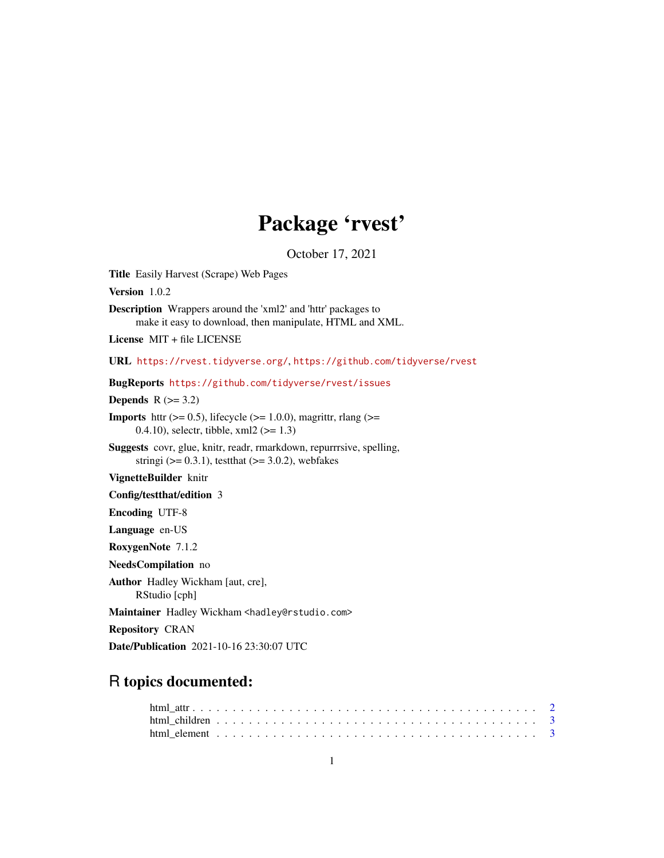## Package 'rvest'

October 17, 2021

<span id="page-0-0"></span>Title Easily Harvest (Scrape) Web Pages Version 1.0.2 Description Wrappers around the 'xml2' and 'httr' packages to make it easy to download, then manipulate, HTML and XML. License MIT + file LICENSE URL <https://rvest.tidyverse.org/>, <https://github.com/tidyverse/rvest> BugReports <https://github.com/tidyverse/rvest/issues> Depends  $R$  ( $>= 3.2$ ) **Imports** httr ( $> = 0.5$ ), lifecycle ( $> = 1.0.0$ ), magrittr, rlang ( $> =$ 0.4.10), selectr, tibble, xml2 (>= 1.3) Suggests covr, glue, knitr, readr, rmarkdown, repurrrsive, spelling, stringi ( $> = 0.3.1$ ), testthat ( $> = 3.0.2$ ), webfakes VignetteBuilder knitr Config/testthat/edition 3 Encoding UTF-8 Language en-US RoxygenNote 7.1.2 NeedsCompilation no Author Hadley Wickham [aut, cre], RStudio [cph] Maintainer Hadley Wickham <hadley@rstudio.com> Repository CRAN Date/Publication 2021-10-16 23:30:07 UTC

### R topics documented: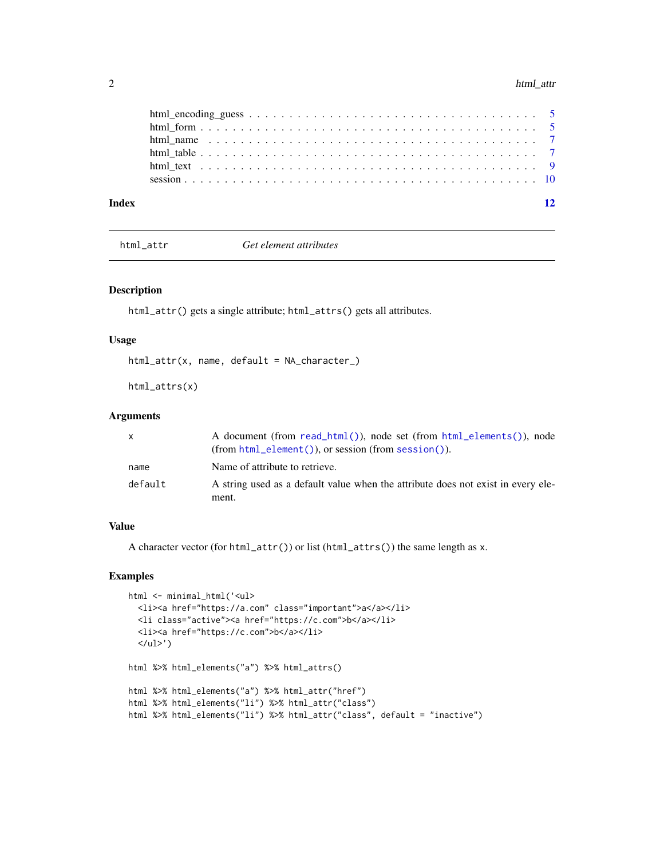#### <span id="page-1-0"></span>2 html\_attr

| Index | 12 |
|-------|----|
|       |    |
|       |    |
|       |    |
|       |    |
|       |    |
|       |    |

html\_attr *Get element attributes*

#### Description

html\_attr() gets a single attribute; html\_attrs() gets all attributes.

#### Usage

```
html_attr(x, name, default = NA_character_)
```
html\_attrs(x)

#### Arguments

| $\mathsf{x}$ | A document (from read_html()), node set (from html_elements()), node                      |
|--------------|-------------------------------------------------------------------------------------------|
| name         | Name of attribute to retrieve.                                                            |
| default      | A string used as a default value when the attribute does not exist in every ele-<br>ment. |

#### Value

A character vector (for html\_attr()) or list (html\_attrs()) the same length as x.

```
html <- minimal_html('<ul>
  <li><a href="https://a.com" class="important">a</a></li>
  <li class="active"><a href="https://c.com">b</a></li>
  <li><a href="https://c.com">b</a></li>
  </ul>')
html %>% html_elements("a") %>% html_attrs()
html %>% html_elements("a") %>% html_attr("href")
html %>% html_elements("li") %>% html_attr("class")
html %>% html_elements("li") %>% html_attr("class", default = "inactive")
```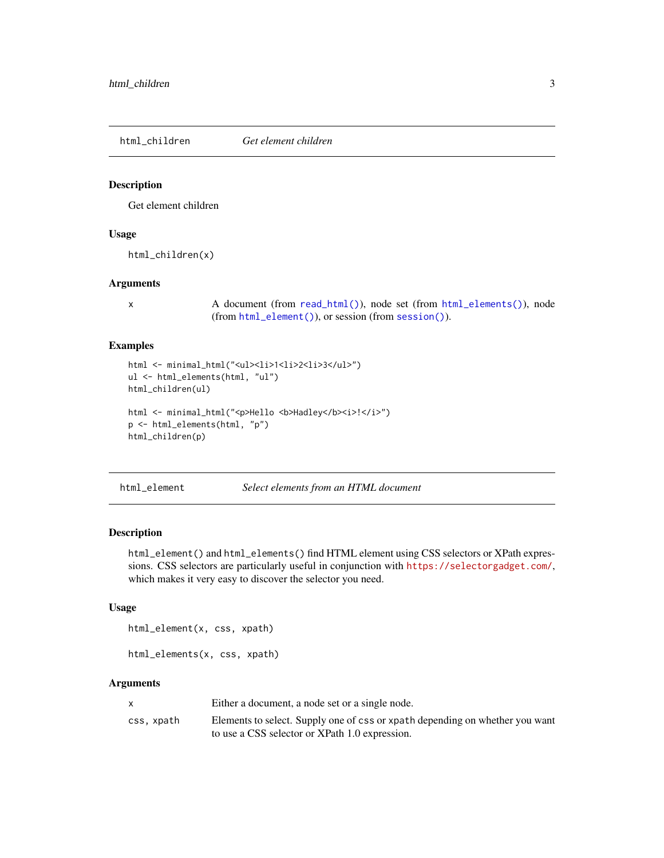<span id="page-2-0"></span>html\_children *Get element children*

#### Description

Get element children

#### Usage

html\_children(x)

#### Arguments

x A document (from [read\\_html\(\)](#page-0-0)), node set (from [html\\_elements\(\)](#page-2-1)), node (from [html\\_element\(\)](#page-2-2)), or session (from [session\(\)](#page-9-1)).

#### Examples

```
html <- minimal_html("<ul><li>1<li>2<li>3</ul>")
ul <- html_elements(html, "ul")
html_children(ul)
```

```
html <- minimal_html("<p>Hello <br/> <br/>b>Hadley</b>><i>!</i>')
p <- html_elements(html, "p")
html_children(p)
```
<span id="page-2-2"></span>html\_element *Select elements from an HTML document*

#### <span id="page-2-1"></span>Description

html\_element() and html\_elements() find HTML element using CSS selectors or XPath expressions. CSS selectors are particularly useful in conjunction with <https://selectorgadget.com/>, which makes it very easy to discover the selector you need.

#### Usage

html\_element(x, css, xpath)

html\_elements(x, css, xpath)

#### Arguments

|            | Either a document, a node set or a single node.                              |
|------------|------------------------------------------------------------------------------|
| css, xpath | Elements to select. Supply one of css or xpath depending on whether you want |
|            | to use a CSS selector or XPath 1.0 expression.                               |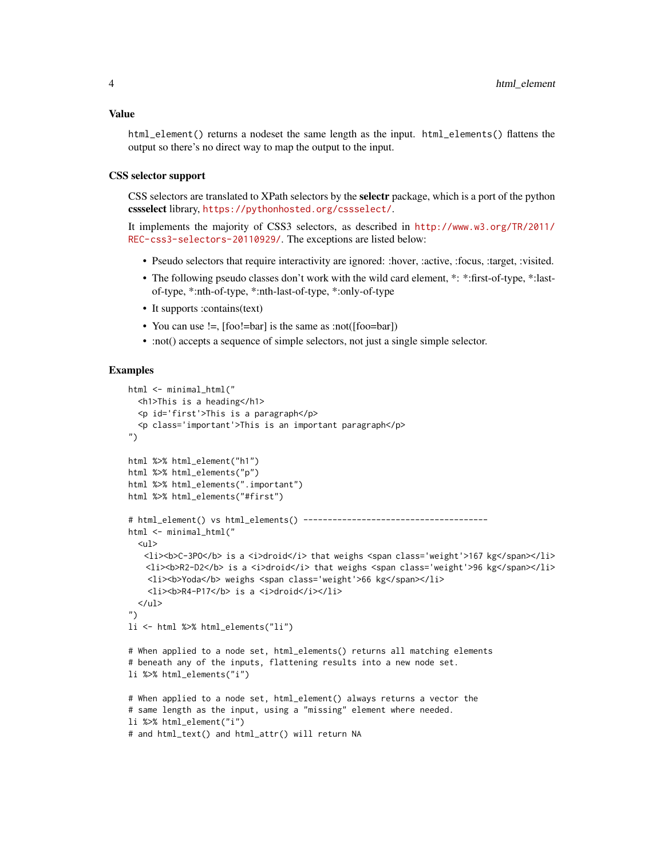html\_element() returns a nodeset the same length as the input. html\_elements() flattens the output so there's no direct way to map the output to the input.

#### CSS selector support

CSS selectors are translated to XPath selectors by the selectr package, which is a port of the python cssselect library, <https://pythonhosted.org/cssselect/>.

It implements the majority of CSS3 selectors, as described in [http://www.w3.org/TR/2011/](http://www.w3.org/TR/2011/REC-css3-selectors-20110929/) [REC-css3-selectors-20110929/](http://www.w3.org/TR/2011/REC-css3-selectors-20110929/). The exceptions are listed below:

- Pseudo selectors that require interactivity are ignored: :hover, :active, :focus, :target, :visited.
- The following pseudo classes don't work with the wild card element, \*: \*:first-of-type, \*:lastof-type, \*:nth-of-type, \*:nth-last-of-type, \*:only-of-type
- It supports :contains(text)
- You can use !=, [foo!=bar] is the same as :not([foo=bar])
- :not() accepts a sequence of simple selectors, not just a single simple selector.

```
html <- minimal html("
  <h1>This is a heading</h1>
  <p id='first'>This is a paragraph</p>
  <p class='important'>This is an important paragraph</p>
")
html %>% html_element("h1")
html %>% html_elements("p")
html %>% html_elements(".important")
html %>% html_elements("#first")
# html_element() vs html_elements() --------------------------------------
html <- minimal_html("
  <sub>ul</sub></sub>
   <li>>C-3PO</b> is a <i>droid</i> that weighs <span class='weight'>167 kg</span></li>
   \langle1i><br/>b>R2-D2</b> is a \langlei>droid</i> that weighs <span class='weight'>96 kg</span></li>
    \langleli><br/>b>Yoda</b> weighs <span class='weight'>66 kg</span></li>
    <li><br />
kli><br />
kli><br />
kli></li>
kli></li>
kli></li>
  \langle/ul\rangle")
li <- html %>% html_elements("li")
# When applied to a node set, html_elements() returns all matching elements
# beneath any of the inputs, flattening results into a new node set.
li %>% html_elements("i")
# When applied to a node set, html_element() always returns a vector the
# same length as the input, using a "missing" element where needed.
li %>% html_element("i")
# and html_text() and html_attr() will return NA
```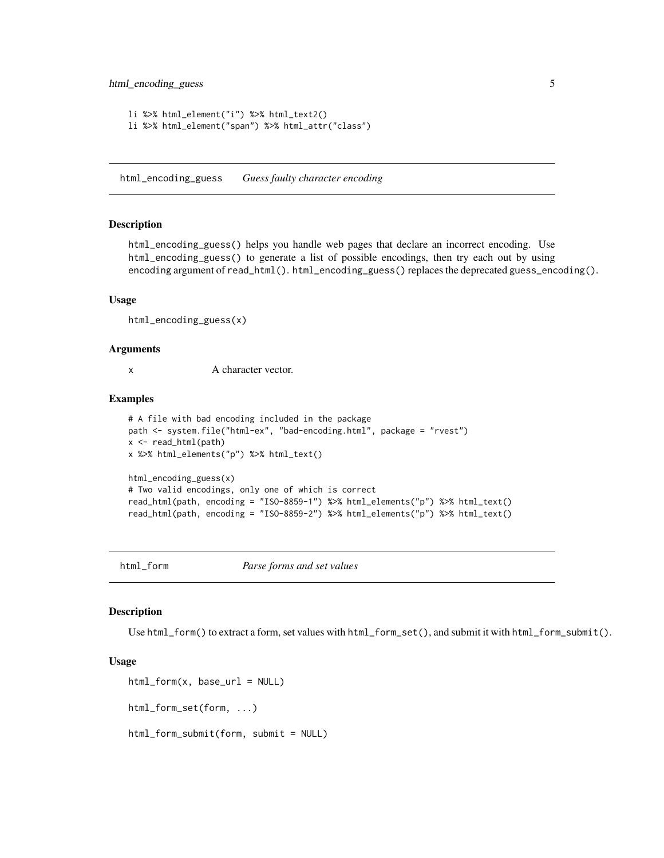```
li %>% html_element("i") %>% html_text2()
li %>% html_element("span") %>% html_attr("class")
```
html\_encoding\_guess *Guess faulty character encoding*

#### Description

html\_encoding\_guess() helps you handle web pages that declare an incorrect encoding. Use html\_encoding\_guess() to generate a list of possible encodings, then try each out by using encoding argument of read\_html(). html\_encoding\_guess() replaces the deprecated guess\_encoding().

#### Usage

```
html_encoding_guess(x)
```
#### Arguments

x A character vector.

#### Examples

```
# A file with bad encoding included in the package
path <- system.file("html-ex", "bad-encoding.html", package = "rvest")
x <- read_html(path)
x %>% html_elements("p") %>% html_text()
html_encoding_guess(x)
# Two valid encodings, only one of which is correct
read_html(path, encoding = "ISO-8859-1") %>% html_elements("p") %>% html_text()
read_html(path, encoding = "ISO-8859-2") %>% html_elements("p") %>% html_text()
```
<span id="page-4-1"></span>html\_form *Parse forms and set values*

#### Description

Use html\_form() to extract a form, set values with html\_form\_set(), and submit it with html\_form\_submit().

#### Usage

```
html_form(x, base_lur1 = NULL)html_form_set(form, ...)
html_form_submit(form, submit = NULL)
```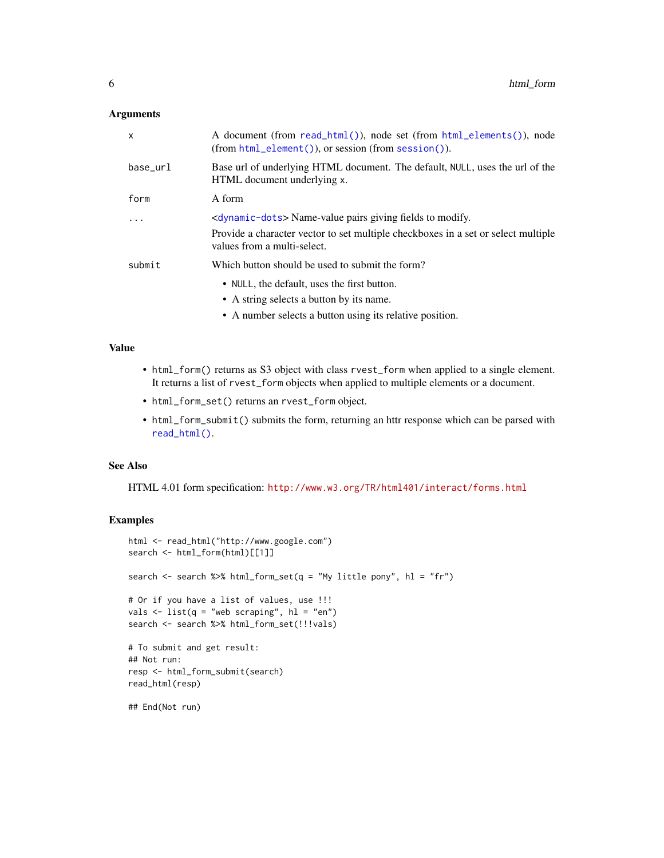#### <span id="page-5-0"></span>Arguments

| $\mathsf{x}$ | A document (from read_html()), node set (from html_elements()), node<br>$(from.html$ element $())$ , or session (from session $())$ . |
|--------------|---------------------------------------------------------------------------------------------------------------------------------------|
| base_url     | Base url of underlying HTML document. The default, NULL, uses the url of the<br>HTML document underlying x.                           |
| form         | A form                                                                                                                                |
| .            | $\langle$ dynamic-dots> Name-value pairs giving fields to modify.                                                                     |
|              | Provide a character vector to set multiple checkboxes in a set or select multiple<br>values from a multi-select.                      |
| submit       | Which button should be used to submit the form?                                                                                       |
|              | • NULL, the default, uses the first button.<br>• A string selects a button by its name.                                               |
|              |                                                                                                                                       |

• A number selects a button using its relative position.

#### Value

- html\_form() returns as S3 object with class rvest\_form when applied to a single element. It returns a list of rvest\_form objects when applied to multiple elements or a document.
- html\_form\_set() returns an rvest\_form object.
- html\_form\_submit() submits the form, returning an httr response which can be parsed with [read\\_html\(\)](#page-0-0).

#### See Also

HTML 4.01 form specification: <http://www.w3.org/TR/html401/interact/forms.html>

```
html <- read_html("http://www.google.com")
search <- html_form(html)[[1]]
search <- search %>% html_form_set(q = "My little pony", hl = "fr")
# Or if you have a list of values, use !!!
vals \le list(q = "web scraping", hl = "en")
search <- search %>% html_form_set(!!!vals)
# To submit and get result:
## Not run:
resp <- html_form_submit(search)
read_html(resp)
## End(Not run)
```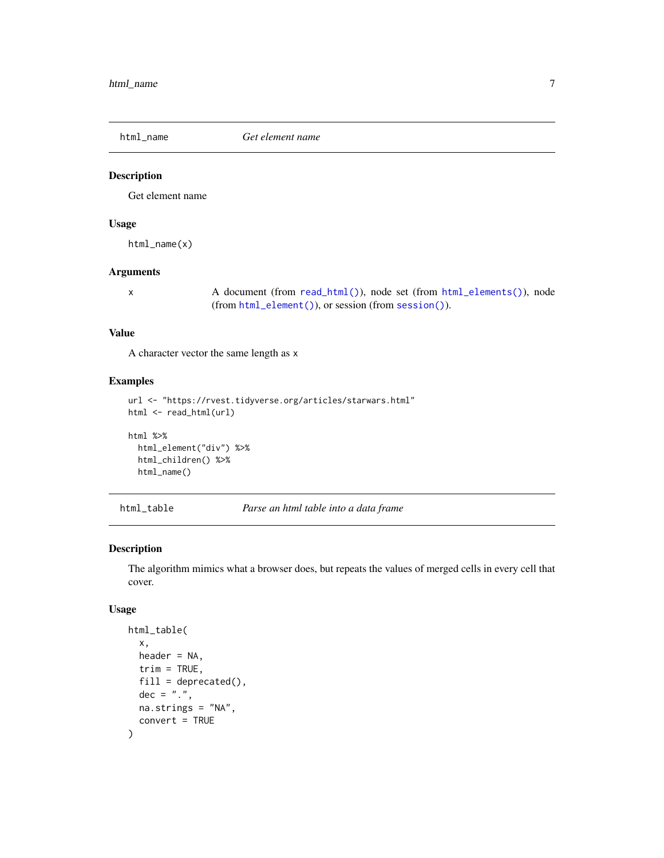<span id="page-6-0"></span>

#### Description

Get element name

#### Usage

html\_name(x)

#### Arguments

x A document (from [read\\_html\(\)](#page-0-0)), node set (from [html\\_elements\(\)](#page-2-1)), node (from [html\\_element\(\)](#page-2-2)), or session (from [session\(\)](#page-9-1)).

#### Value

A character vector the same length as x

#### Examples

```
url <- "https://rvest.tidyverse.org/articles/starwars.html"
html <- read_html(url)
```

```
html %>%
  html_element("div") %>%
  html_children() %>%
  html_name()
```
html\_table *Parse an html table into a data frame*

#### Description

The algorithm mimics what a browser does, but repeats the values of merged cells in every cell that cover.

#### Usage

```
html_table(
  x,
  header = NA,
  trim = TRUE,
  fill = deprecated(),
  dec = "''.
 na.strings = "NA",
  convert = TRUE
)
```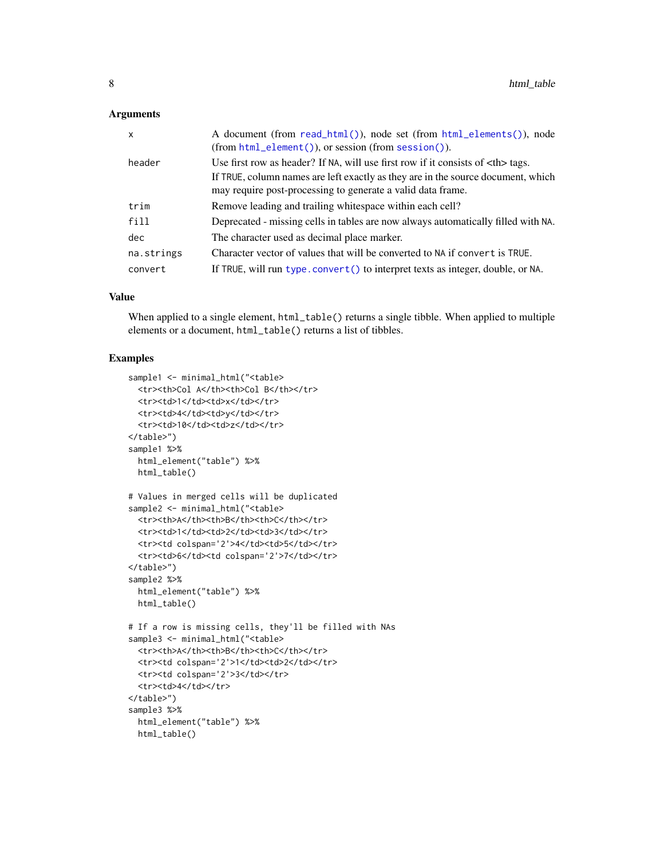#### <span id="page-7-0"></span>**Arguments**

| $\mathsf{x}$ | A document (from read_html()), node set (from html_elements()), node<br>(from html_element()), or session (from session()).                     |
|--------------|-------------------------------------------------------------------------------------------------------------------------------------------------|
| header       | Use first row as header? If NA, will use first row if it consists of $th$ tags.                                                                 |
|              | If TRUE, column names are left exactly as they are in the source document, which<br>may require post-processing to generate a valid data frame. |
| trim         | Remove leading and trailing whitespace within each cell?                                                                                        |
| fill         | Deprecated - missing cells in tables are now always automatically filled with NA.                                                               |
| dec          | The character used as decimal place marker.                                                                                                     |
| na.strings   | Character vector of values that will be converted to NA if convert is TRUE.                                                                     |
| convert      | If TRUE, will run type.convert () to interpret texts as integer, double, or NA.                                                                 |

#### Value

When applied to a single element,  $html_table()$  returns a single tibble. When applied to multiple elements or a document, html\_table() returns a list of tibbles.

```
sample1 <- minimal_html("<table>
  <tr><th>Col A</th><th>Col B</th></tr>
  <tr>><td>1</td><td>x</td></tr>
  <tr>>td>4</td><td>y</td></tr>
  <tr>><td>10</td><td>z</td></tr>
</table>")
sample1 %>%
  html_element("table") %>%
  html_table()
# Values in merged cells will be duplicated
sample2 <- minimal_html("<table>
  <tr>>th>A</th><th>B</th><th>C</th></tr>
  <tr>><td>1</td><td>2</td><td>3</td></tr>
  <tr>>td colspan='2'>4</td><td>5</td></tr>
  <tr>>td>6</td><td colspan='2'>7</td></tr>
</table>")
sample2 %>%
  html_element("table") %>%
  html_table()
# If a row is missing cells, they'll be filled with NAs
sample3 <- minimal_html("<table>
  <tr>>th>A</th><th>B</th><th>C</th></tr>
  <tr>>td colspan='2'>1</td><td>2</td></tr>
  <tr>>td colspan='2'>3</td></tr>
  <tr><td>4</td></tr>
</table>")
sample3 %>%
  html_element("table") %>%
  html_table()
```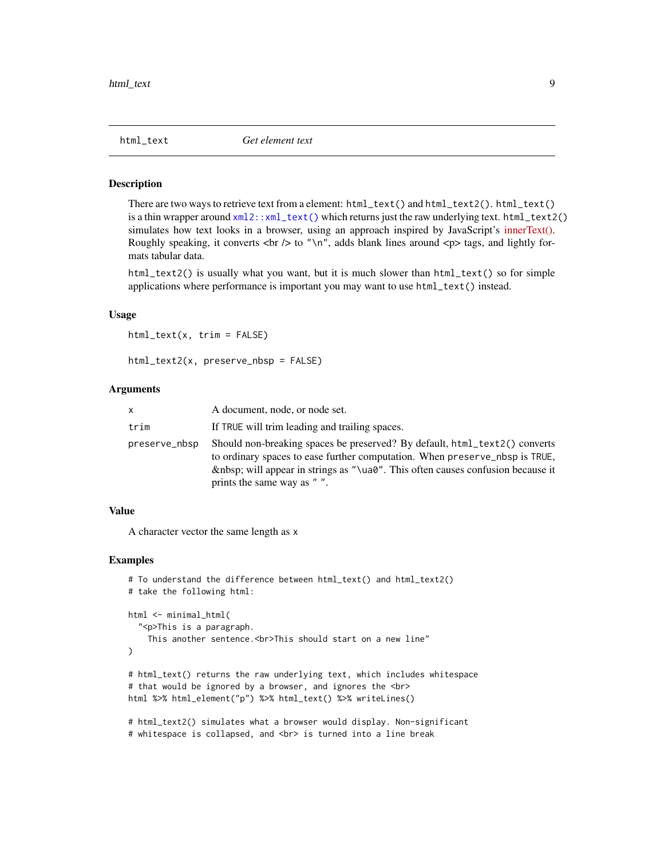<span id="page-8-0"></span>

#### Description

There are two ways to retrieve text from a element: html\_text() and html\_text2(). html\_text() is a thin wrapper around  $xml2::xml\_text()$  which returns just the raw underlying text. html\_text2() simulates how text looks in a browser, using an approach inspired by JavaScript's [innerText\(\).](https://developer.mozilla.org/en-US/docs/Web/API/HTMLElement/innerText) Roughly speaking, it converts  $\langle$ br  $/$  to " $\langle$ n", adds blank lines around  $\langle$ p $\rangle$  tags, and lightly formats tabular data.

html\_text2() is usually what you want, but it is much slower than  $html\_text()$  so for simple applications where performance is important you may want to use html\_text() instead.

#### Usage

```
html_text(x, trim = FALSE)
```

```
html_text2(x, preserve_nbsp = FALSE)
```
#### Arguments

| x             | A document, node, or node set.                                                                                                                                                                                                                                       |
|---------------|----------------------------------------------------------------------------------------------------------------------------------------------------------------------------------------------------------------------------------------------------------------------|
| trim          | If TRUE will trim leading and trailing spaces.                                                                                                                                                                                                                       |
| preserve_nbsp | Should non-breaking spaces be preserved? By default, html_text2() converts<br>to ordinary spaces to ease further computation. When preserve nbsp is TRUE,<br>will appear in strings as "\ua0". This often causes confusion because it<br>prints the same way as " ". |

### Value

A character vector the same length as x

```
# To understand the difference between html_text() and html_text2()
# take the following html:
html <- minimal_html(
  "<p>This is a paragraph.
   This another sentence.<br>This should start on a new line"
)
# html_text() returns the raw underlying text, which includes whitespace
# that would be ignored by a browser, and ignores the <br>
html %>% html_element("p") %>% html_text() %>% writeLines()
# html_text2() simulates what a browser would display. Non-significant
```

```
# whitespace is collapsed, and <br> is turned into a line break
```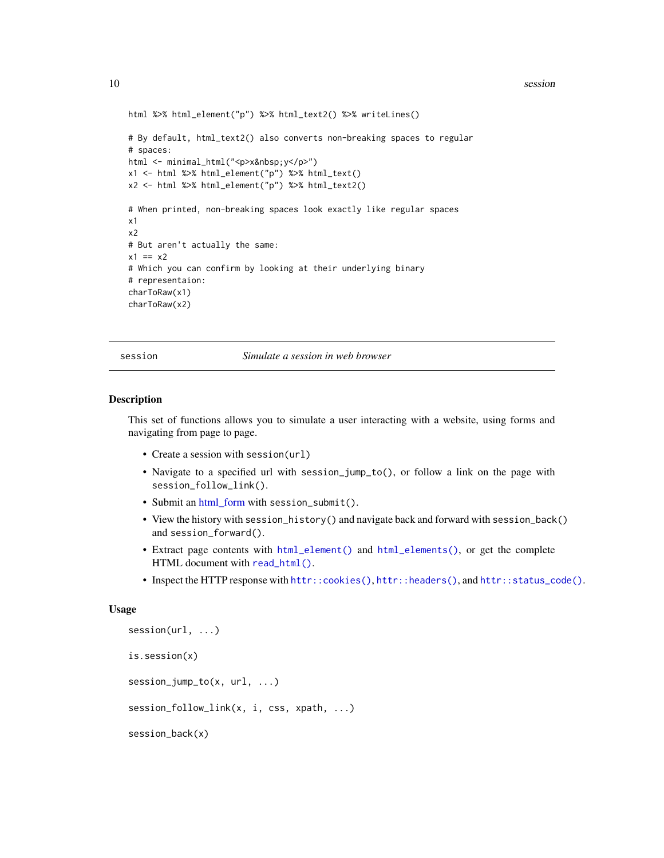<span id="page-9-0"></span>10 session session session session session session session session session session session session session se

```
html %>% html_element("p") %>% html_text2() %>% writeLines()
# By default, html_text2() also converts non-breaking spaces to regular
# spaces:
html <- minimal_html("<p>x&nbsp;y</p>")
x1 <- html %>% html_element("p") %>% html_text()
x2 <- html %>% html_element("p") %>% html_text2()
# When printed, non-breaking spaces look exactly like regular spaces
x1
x2
# But aren't actually the same:
x1 == x2# Which you can confirm by looking at their underlying binary
# representaion:
charToRaw(x1)
charToRaw(x2)
```
<span id="page-9-1"></span>session *Simulate a session in web browser*

#### Description

This set of functions allows you to simulate a user interacting with a website, using forms and navigating from page to page.

- Create a session with session(url)
- Navigate to a specified url with session\_jump\_to(), or follow a link on the page with session\_follow\_link().
- Submit an [html\\_form](#page-4-1) with session\_submit().
- View the history with session\_history() and navigate back and forward with session\_back() and session\_forward().
- Extract page contents with [html\\_element\(\)](#page-2-2) and [html\\_elements\(\)](#page-2-1), or get the complete HTML document with [read\\_html\(\)](#page-0-0).
- Inspect the HTTP response with [httr::cookies\(\)](#page-0-0), [httr::headers\(\)](#page-0-0), and [httr::status\\_code\(\)](#page-0-0).

#### Usage

```
session(url, ...)
is.session(x)
session_jump_to(x, url, ...)
session_follow_link(x, i, css, xpath, ...)
session_back(x)
```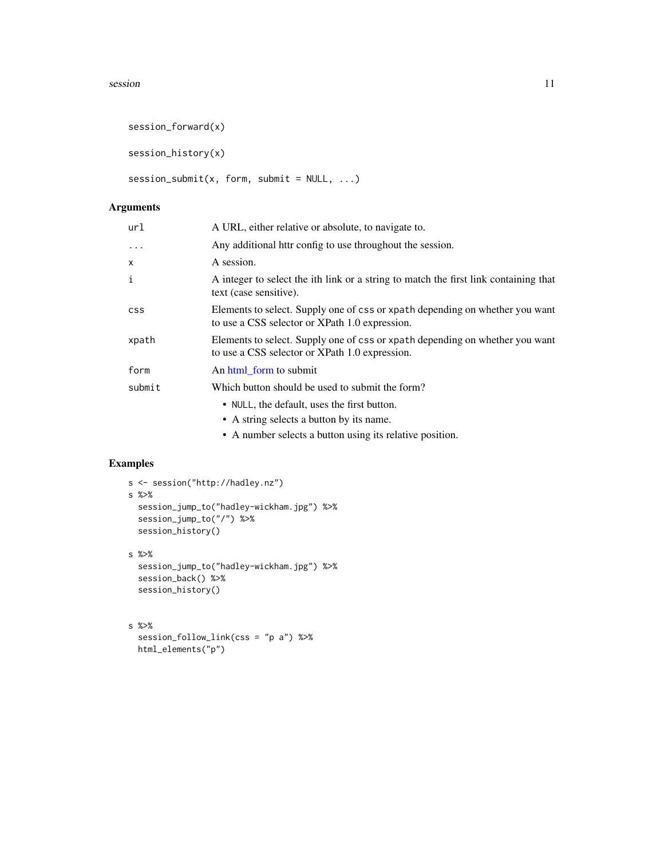#### <span id="page-10-0"></span>session and the session of the session of the session of the session of the session of the session of the session of the session of the session of the session of the session of the session of the session of the session of

```
session_forward(x)
```
session\_history(x)

 $session\_submit(x, form, submit = NULL, ...)$ 

#### Arguments

| url          | A URL, either relative or absolute, to navigate to.                                                                            |
|--------------|--------------------------------------------------------------------------------------------------------------------------------|
| $\cdot$      | Any additional httr config to use throughout the session.                                                                      |
| $\mathsf{x}$ | A session.                                                                                                                     |
| i            | A integer to select the ith link or a string to match the first link containing that<br>text (case sensitive).                 |
| <b>CSS</b>   | Elements to select. Supply one of css or xpath depending on whether you want<br>to use a CSS selector or XPath 1.0 expression. |
| xpath        | Elements to select. Supply one of css or xpath depending on whether you want<br>to use a CSS selector or XPath 1.0 expression. |
| form         | An html_form to submit                                                                                                         |
| submit       | Which button should be used to submit the form?                                                                                |
|              | • NULL, the default, uses the first button.                                                                                    |
|              | • A string selects a button by its name.                                                                                       |
|              | • A number selects a button using its relative position.                                                                       |

```
s <- session("http://hadley.nz")
s %>%
  session_jump_to("hadley-wickham.jpg") %>%
  session_jump_to("/") %>%
  session_history()
s %>%
  session_jump_to("hadley-wickham.jpg") %>%
  session_back() %>%
  session_history()
```

```
s %>%
 session_follow_link(css = "p a") %>%
 html_elements("p")
```